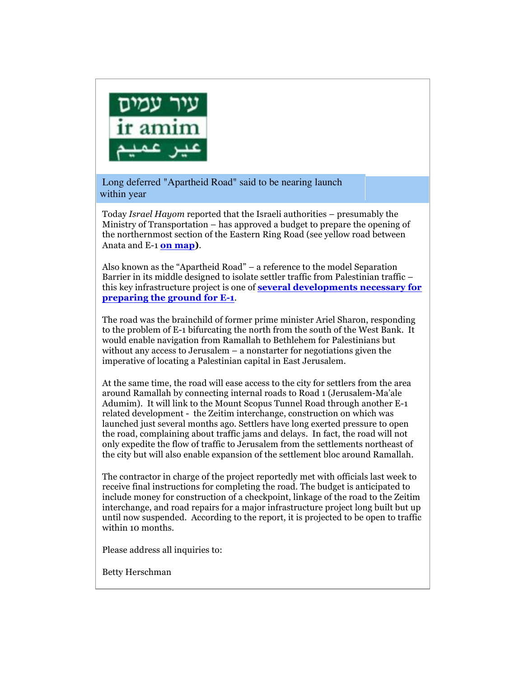

Long deferred "Apartheid Road" said to be nearing launch within year

Today *Israel Hayom* reported that the Israeli authorities – presumably the Ministry of Transportation – has approved a budget to prepare the opening of the northernmost section of the Eastern Ring Road (see yellow road between Anata and E-1 **on map)**.

Also known as the "Apartheid Road" – a reference to the model Separation Barrier in its middle designed to isolate settler traffic from Palestinian traffic – this key infrastructure project is one of **several developments necessary for preparing the ground for E-1**.

The road was the brainchild of former prime minister Ariel Sharon, responding to the problem of E-1 bifurcating the north from the south of the West Bank. It would enable navigation from Ramallah to Bethlehem for Palestinians but without any access to Jerusalem – a nonstarter for negotiations given the imperative of locating a Palestinian capital in East Jerusalem.

At the same time, the road will ease access to the city for settlers from the area around Ramallah by connecting internal roads to Road 1 (Jerusalem-Ma'ale Adumim). It will link to the Mount Scopus Tunnel Road through another E-1 related development - the Zeitim interchange, construction on which was launched just several months ago. Settlers have long exerted pressure to open the road, complaining about traffic jams and delays. In fact, the road will not only expedite the flow of traffic to Jerusalem from the settlements northeast of the city but will also enable expansion of the settlement bloc around Ramallah.

The contractor in charge of the project reportedly met with officials last week to receive final instructions for completing the road. The budget is anticipated to include money for construction of a checkpoint, linkage of the road to the Zeitim interchange, and road repairs for a major infrastructure project long built but up until now suspended. According to the report, it is projected to be open to traffic within 10 months.

Please address all inquiries to:

Betty Herschman